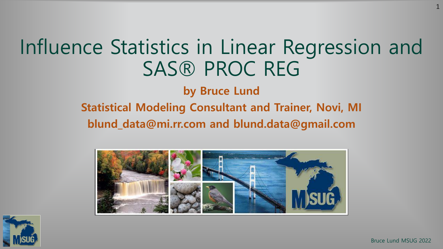# Influence Statistics in Linear Regression and SAS® PROC REG

**by Bruce Lund**

#### **Statistical Modeling Consultant and Trainer, Novi, MI blund\_data@mi.rr.com and blund.data@gmail.com**



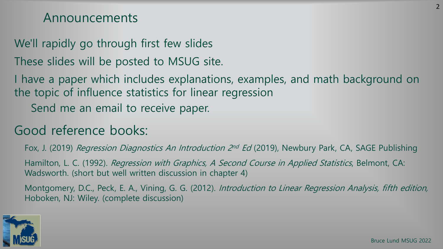#### Announcements

We'll rapidly go through first few slides

These slides will be posted to MSUG site.

I have a paper which includes explanations, examples, and math background on the topic of influence statistics for linear regression

Send me an email to receive paper.

### Good reference books:

Fox, J. (2019) *Regression Diagnostics An Introduction 2nd Ed* (2019), Newbury Park, CA, SAGE Publishing

Hamilton, L. C. (1992). Regression with Graphics, A Second Course in Applied Statistics, Belmont, CA: Wadsworth. (short but well written discussion in chapter 4)

Montgomery, D.C., Peck, E. A., Vining, G. G. (2012). Introduction to Linear Regression Analysis, fifth edition, Hoboken, NJ: Wiley. (complete discussion)

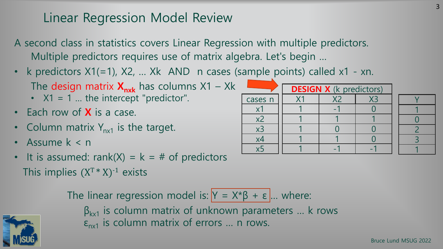### Linear Regression Model Review

- A second class in statistics covers Linear Regression with multiple predictors. Multiple predictors requires use of matrix algebra. Let's begin …
- k predictors  $X1(=1)$ ,  $X2$ , ...  $Xk$  AND n cases (sample points) called  $x1 xn$ . The design matrix  $X_{n\times k}$  has columns  $X1 - Xk$ 
	- $X1 = 1$  ... the intercept "predictor".
- Each row of **X** is a case.
- Column matrix  $Y_{n\times 1}$  is the target.
- Assume k < n
- It is assumed: rank(X) =  $k = #$  of predictors This implies  $(X^T * X)^{-1}$  exists

The linear regression model is:  $Y = X^*\beta + \varepsilon$  ... where:  $\beta_{kx1}$  is column matrix of unknown parameters ... k rows  $\varepsilon_{n\times 1}$  is column matrix of errors ... n rows.



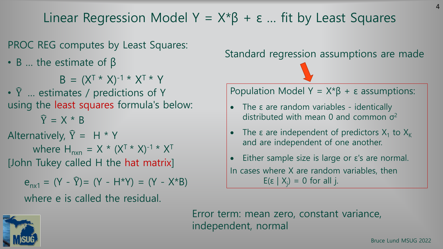Linear Regression Model Y =  $X^*\beta$  +  $\varepsilon$  ... fit by Least Squares

PROC REG computes by Least Squares:

 $\cdot$  B ... the estimate of β

 $B = (X^{T*} X)^{-1*} X^{T*} Y$ 

•  $\hat{Y}$  ... estimates / predictions of Y using the least squares formula's below:

 $\hat{Y} = X * B$ 

Alternatively,  $\hat{Y} = H * Y$ where  $H_{n\times n} = X * (X^{T*} X)^{-1} * X^{T*}$ 

[John Tukey called H the hat matrix]

 $e_{n \times 1} = (Y - \widehat{Y}) = (Y - H^*Y) = (Y - X^*B)$ where e is called the residual.

Standard regression assumptions are made

Population Model  $Y = X^*\beta + \epsilon$  assumptions:

- The ε are random variables identically distributed with mean 0 and common  $\sigma^2$
- The  $\varepsilon$  are independent of predictors  $X_1$  to  $X_K$ and are independent of one another.
- Either sample size is large or ε's are normal. In cases where X are random variables, then E(ε |  $X$ <sub>j</sub>) = 0 for all j.

Error term: mean zero, constant variance, independent, normal



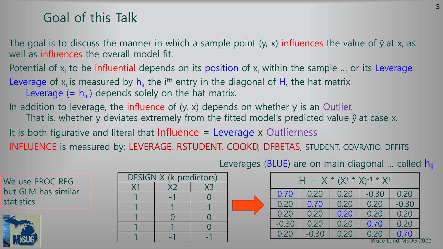#### Goal of this Talk

The goal is to discuss the manner in which a sample point (y, x) influences the value of  $\hat{y}$  at x, as well as influences the overall model fit.

Potential of  $x_i$  to be influential depends on its position of  $x_i$  within the sample ... or its Leverage

- Leverage of  $x_i$  is measured by  $h_{ii}$  the i<sup>th</sup> entry in the diagonal of H, the hat matrix Leverage  $(= h_{ii})$  depends solely on the hat matrix.
- In addition to leverage, the influence of (y, x) depends on whether y is an Outlier. That is, whether y deviates extremely from the fitted model's predicted value  $\hat{y}$  at case x. It is both figurative and literal that Influence  $=$  Leverage x Outlierness
- INFLUENCE is measured by: LEVERAGE, RSTUDENT, COOKD, DFBETAS, STUDENT, COVRATIO, DFFITS

|  | <b>DESIGN X (k predictors)</b> |  |
|--|--------------------------------|--|
|  |                                |  |
|  |                                |  |
|  |                                |  |
|  |                                |  |
|  |                                |  |
|  |                                |  |

Leverages (BLUE) are on main diagonal ... called  $h_{ii}$ 

| = $X * (X^T * X)^{-1} * X^T$<br>н |         |      |         |                             |  |  |  |  |
|-----------------------------------|---------|------|---------|-----------------------------|--|--|--|--|
| 0.70                              | 0.20    | 0.20 | $-0.30$ | 0.20                        |  |  |  |  |
| 0.20                              | 0.70    | 0.20 | 0.20    | $-0.30$                     |  |  |  |  |
| 0.20                              | 0.20    | 0.20 | 0.20    | 0.20                        |  |  |  |  |
| $-0.30$                           | 0.20    | 0.20 | 0.70    | 0.20                        |  |  |  |  |
| 0.20                              | $-0.30$ | 0.20 | 0.20    | 0.70                        |  |  |  |  |
|                                   |         |      |         | <b>Bruce Lund MSUG 2022</b> |  |  |  |  |



statistics

We use PROC REG

but GLM has similar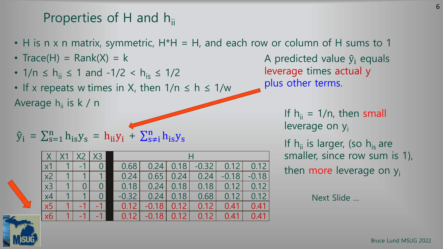## Properties of H and  $h_{ii}$

- H is n x n matrix, symmetric, H\*H = H, and each row or column of H sums to 1
- Trace(H) =  $Rank(X) = k$
- $1/n \le h_{ii} \le 1$  and  $-1/2 < h_{is} \le 1/2$

• If x repeats w times in X, then  $1/n \leq h \leq 1/w$ Average  $h_{ii}$  is k / n

$$
\hat{y}_i = \sum_{s=1}^n h_{is} y_s = h_{ii} y_i + \sum_{s \neq i}^n h_{is} y_s
$$

|                  |                |          | X3             |              |              |               |         |         |         |  |  |
|------------------|----------------|----------|----------------|--------------|--------------|---------------|---------|---------|---------|--|--|
| x1               |                |          | $\overline{0}$ | 0.68         | 0.24         | 0.18          | $-0.32$ | 0.12    | 0.12    |  |  |
| $\overline{x^2}$ | 1              |          |                | 0.24         |              | $0.65$   0.24 | 0.24    | $-0.18$ | $-0.18$ |  |  |
| $\overline{x3}$  |                | $\Omega$ | $\Omega$       | 0.18         | 0.24         | 0.18          | 0.18    | 0.12    | 0.12    |  |  |
| $\overline{x4}$  | $\blacksquare$ |          | $\Omega$       | $-0.32$      |              | $0.24$   0.18 | 0.68    | 0.12    | 0.12    |  |  |
| $\overline{x5}$  |                |          |                | $\vert$ 0.12 | $-0.18$ 0.12 |               | 0.12    | 0.41    | 0.41    |  |  |
| x6               |                |          |                | 0.12         | $-0.18$      | 0.12          | 0.12    | 0.41    | 0.41    |  |  |

A predicted value  $\hat{y}_i$  equals leverage times actual y plus other terms.

> If  $h_{ii} = 1/n$ , then small leverage on y<sub>i</sub>

If  $h_{ii}$  is larger, (so  $h_{is}$  are smaller, since row sum is 1), then more leverage on y<sub>i</sub>

Next Slide …

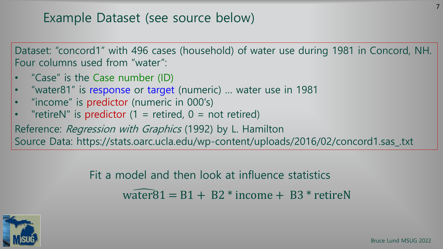Dataset: "concord1" with 496 cases (household) of water use during 1981 in Concord, NH. Four columns used from "water":

- "Case" is the Case number (ID)
- "water81" is response or target (numeric) ... water use in 1981
- "income" is predictor (numeric in 000's)
- "retireN" is predictor  $(1 =$  retired,  $0 =$  not retired)

Reference: Regression with Graphics (1992) by L. Hamilton

Source Data: https://stats.oarc.ucla.edu/wp-content/uploads/2016/02/concord1.sas\_.txt

Fit a model and then look at influence statistics water $81 = B1 + B2$  \* income  $+ B3$  \* retireN



7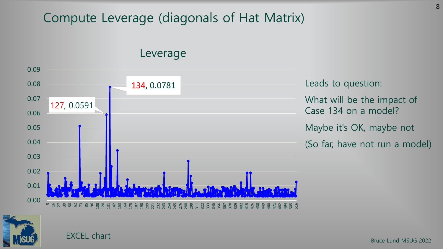### Compute Leverage (diagonals of Hat Matrix)

Leverage



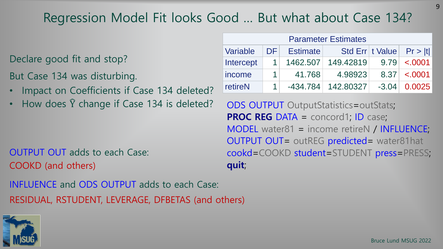# Regression Model Fit looks Good … But what about Case 134?

Declare good fit and stop?

But Case 134 was disturbing.

- Impact on Coefficients if Case 134 deleted?
- How does  $\hat{Y}$  change if Case 134 is deleted? ODS OUTPUT OutputStatistics=outStats;

OUTPUT OUT adds to each Case: COOKD (and others)

INFLUENCE and ODS OUTPUT adds to each Case: RESIDUAL, RSTUDENT, LEVERAGE, DFBETAS (and others)

| <b>Parameter Estimates</b> |                 |                 |           |  |                                |  |  |  |  |  |  |
|----------------------------|-----------------|-----------------|-----------|--|--------------------------------|--|--|--|--|--|--|
| Variable                   | DF <sub>1</sub> | <b>Estimate</b> |           |  | Std Err   t Value   $Pr >  t $ |  |  |  |  |  |  |
| Intercept                  |                 | 1462.507        | 149.42819 |  | $9.79 \le 0.0001$              |  |  |  |  |  |  |
| income                     |                 | 41.768          | 4.98923   |  | $8.37 \mid \langle .0001 \mid$ |  |  |  |  |  |  |
| retireN                    |                 | $-434.784$      | 142.80327 |  | $-3.04$ 0.0025                 |  |  |  |  |  |  |

**PROC REG** DATA = concord1; ID case; MODEL water81 = income retireN / INFLUENCE; OUTPUT OUT= outREG predicted= water81hat cookd=COOKD student=STUDENT press=PRESS; **quit**;

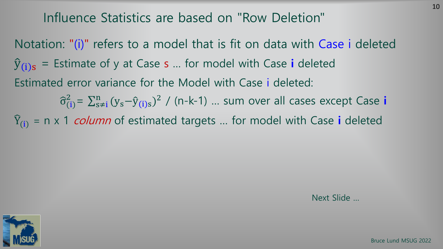#### Influence Statistics are based on "Row Deletion"

Notation: "(i)" refers to a model that is fit on data with Case i deleted  $\hat{y}_{(i)s}$  = Estimate of y at Case s ... for model with Case i deleted Estimated error variance for the Model with Case i deleted:  $\widehat{\sigma}_{(i)}^2$ =  $\sum_{s\neq i}^n (y_s-\widehat{y}_{(i)s})^2$  / (n-k-1) ... sum over all cases except Case i  $\widehat{Y}_{(i)}$  = n x 1 *column* of estimated targets ... for model with Case **i** deleted

Next Slide …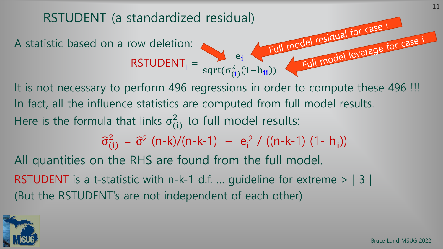

It is not necessary to perform 496 regressions in order to compute these 496 !!! In fact, all the influence statistics are computed from full model results. Here is the formula that links  $\sigma_{(i)}^2$  to full model results:

 $\hat{\sigma}_{(i)}^2 = \hat{\sigma}^2$  (n-k)/(n-k-1) – e<sub>i</sub><sup>2</sup> / ((n-k-1) (1- h<sub>ii</sub>))

All quantities on the RHS are found from the full model. RSTUDENT is a t-statistic with n-k-1 d.f. ... guideline for extreme  $>$  | 3 | (But the RSTUDENT's are not independent of each other)

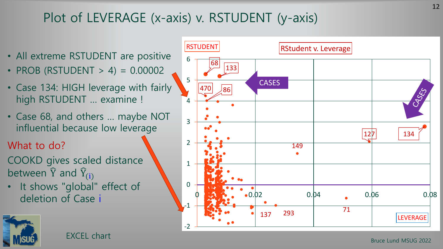# Plot of LEVERAGE (x-axis) v. RSTUDENT (y-axis)

- All extreme RSTUDENT are positive
- PROB (RSTUDENT  $> 4$ ) = 0.00002
- Case 134: HIGH leverage with fairly high RSTUDENT … examine !
- Case 68, and others … maybe NOT influential because low leverage
- What to do?
- COOKD gives scaled distance between  $\widehat{Y}$  and  $\widehat{Y}_{(i)}$
- It shows "global" effect of deletion of Case i



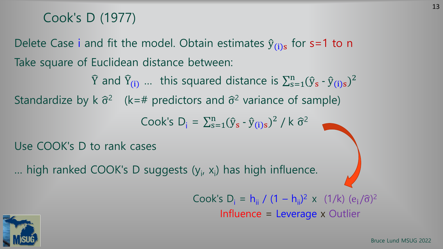#### Cook's D (1977)

Delete Case i and fit the model. Obtain estimates  $\hat{y}_{(i)s}$  for s=1 to n Take square of Euclidean distance between:

 $\widehat{Y}$  and  $\widehat{Y}_{(i)}$  ... this squared distance is  $\sum_{s=1}^{n} (\widehat{y}_{s} - \widehat{y}_{(i)s})^2$ Standardize by k  $\hat{\sigma}^2$  (k=# predictors and  $\hat{\sigma}^2$  variance of sample) Cook's  $D_i = \sum_{s=1}^n (\hat{y}_s - \hat{y}_{(i)s})^2 / k \hat{\sigma}^2$ 

Use COOK's D to rank cases

... high ranked COOK's D suggests (y<sub>i</sub>, x<sub>i</sub>) has high influence.

Cook's D<sub>i</sub> = h<sub>ii</sub> / (1 – h<sub>ii</sub>)<sup>2</sup> x (1/k)  $(e_i/\hat{\sigma})^2$ Influence = Leverage x Outlier

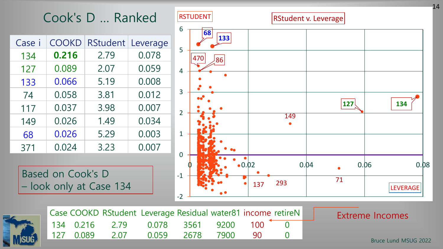Cook's D … Ranked

| Case i | COOKD | <b>RStudent</b> | Leverage |
|--------|-------|-----------------|----------|
| 134    | 0.216 | 2.79            | 0.078    |
| 127    | 0.089 | 2.07            | 0.059    |
| 133    | 0.066 | 5.19            | 0.008    |
| 74     | 0.058 | 3.81            | 0.012    |
| 117    | 0.037 | 3.98            | 0.007    |
| 149    | 0.026 | 1.49            | 0.034    |
| 68     | 0.026 | 5.29            | 0.003    |
| 371    | 0.024 | 3.23            | 0.007    |

Based on Cook's D – look only at Case 134





|  | Case COOKD RStudent Leverage Residual water81 income retireN |       |              |  |
|--|--------------------------------------------------------------|-------|--------------|--|
|  | $134$ 0.216 2.79 0.078 3561 9200 100 0                       |       |              |  |
|  | 127 0.089 2.07                                               | 0.059 | 2678 7900 90 |  |

#### Extreme Incomes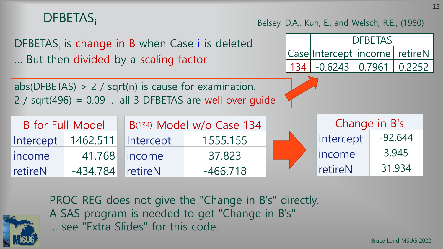# DFBETAS<sub>i</sub> DFBETAS<sub>i</sub> is change in B when Case i is deleted … But then divided by a scaling factor Belsey, D.A., Kuh, E., and Welsch, R.E., (1980)

abs(DFBETAS)  $> 2$  / sqrt(n) is cause for examination.  $2$  / sqrt(496) = 0.09 ... all 3 DFBETAS are well over quide Case Intercept income retireN DFBETAS 134 | -0.6243 | 0.7961 | 0.2252

| B for Full Model |            |                  | B(134): Model w/o Case 134 | Change in B's |           |
|------------------|------------|------------------|----------------------------|---------------|-----------|
| Intercept        | 1462.511   | <b>Intercept</b> | 1555.155                   | Intercept     | $-92.644$ |
| lincome          |            | 41.768 income    | 37.823                     | lincome       | 3.945     |
| <b>TretireN</b>  | $-434.784$ | <b>TretireN</b>  | $-466.718$                 | retireN       | 31.934    |



PROC REG does not give the "Change in B's" directly. A SAS program is needed to get "Change in B's" … see "Extra Slides" for this code.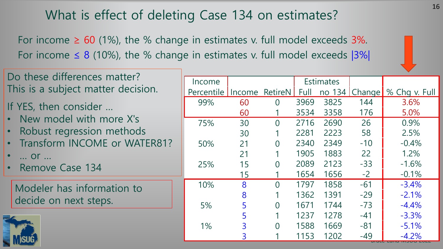# What is effect of deleting Case 134 on estimates?

For income  $\geq 60$  (1%), the % change in estimates v. full model exceeds 3%. For income  $\leq 8$  (10%), the % change in estimates v. full model exceeds  $|3\%|$ 



| Do these differences matter?       |                                |    |                |      |                  |       |                             |
|------------------------------------|--------------------------------|----|----------------|------|------------------|-------|-----------------------------|
|                                    | Income                         |    |                |      | <b>Estimates</b> |       |                             |
| This is a subject matter decision. | Percentile Income RetireN Full |    |                |      |                  |       | no 134 Change % Chg v. Full |
| If YES, then consider              | 99%                            | 60 | $\overline{0}$ | 3969 | 3825             | 144   | 3.6%                        |
|                                    |                                | 60 |                | 3534 | 3358             | 176   | 5.0%                        |
| • New model with more X's          | 75%                            | 30 | $\Omega$       | 2716 | 2690             | 26    | 0.9%                        |
| · Robust regression methods        |                                | 30 | 1              | 2281 | 2223             | 58    | 2.5%                        |
| • Transform INCOME or WATER81?     | 50%                            | 21 | $\overline{0}$ | 2340 | 2349             | $-10$ | $-0.4%$                     |
| $\bullet$<br>Or                    |                                | 21 |                | 1905 | 1883             | 22    | 1.2%                        |
| • Remove Case 134                  | 25%                            | 15 | $\Omega$       | 2089 | 2123             | $-33$ | $-1.6%$                     |
|                                    |                                | 15 |                | 1654 | 1656             | $-2$  | $-0.1\%$                    |
| Modeler has information to         | 10%                            | 8  | $\Omega$       | 1797 | 1858             | $-61$ | $-3.4%$                     |
|                                    |                                | 8  |                | 1362 | 1391             | $-29$ | $-2.1%$                     |
| decide on next steps.              | 5%                             |    | $\overline{0}$ | 1671 | 1744             | $-73$ | $-4.4%$                     |
|                                    |                                |    |                | 1237 | 1278             | $-41$ | $-3.3%$                     |
|                                    | 1%                             |    | $\Omega$       | 1588 | 1669             | $-81$ | $-5.1%$                     |
|                                    |                                |    |                | 1153 | 1202             | -49   | $-4.2%$                     |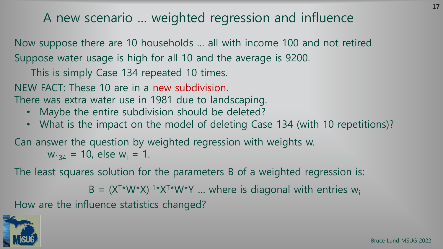#### A new scenario … weighted regression and influence

Now suppose there are 10 households … all with income 100 and not retired Suppose water usage is high for all 10 and the average is 9200.

This is simply Case 134 repeated 10 times.

NEW FACT: These 10 are in a new subdivision.

There was extra water use in 1981 due to landscaping.

- Maybe the entire subdivision should be deleted?
- What is the impact on the model of deleting Case 134 (with 10 repetitions)?

Can answer the question by weighted regression with weights w.  $w_{134}$  = 10, else  $w_i$  = 1.

The least squares solution for the parameters B of a weighted regression is:

 $B = (X^{T*}W^*X)^{-1*}X^{T*}W^*Y$  ... where is diagonal with entries  $W_i$ 

How are the influence statistics changed?



17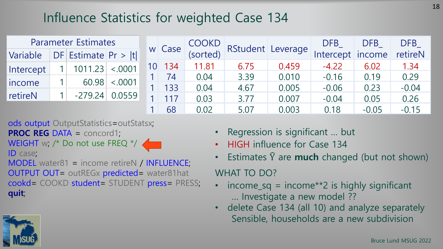# Influence Statistics for weighted Case 134

|           | <b>Parameter Estimates</b> |         |    |        |                   |      |       | RStudent Leverage |         | <b>DFB</b> | DFB | DFB |
|-----------|----------------------------|---------|----|--------|-------------------|------|-------|-------------------|---------|------------|-----|-----|
| Variable  | $DF$ Estimate Pr >  t      |         |    | w Case | COOKD<br>(sorted) |      |       | Intercept         | income  | retireN    |     |     |
| Intercept | 1011.23                    | < .0001 | 10 | 134    | 11.81             | 6.75 | 0.459 | $-4.22$           | 6.02    | 1.34       |     |     |
|           |                            |         |    | 74     | 0.04              | 3.39 | 0.010 | $-0.16$           | 0.19    | 0.29       |     |     |
| income    | 60.98                      | < .0001 |    | 133    | 0.04              | 4.67 | 0.005 | $-0.06$           | 0.23    | $-0.04$    |     |     |
| retireN   | $-279.24$                  | 0.0559  |    | 117    | 0.03              | 3.77 | 0.007 | $-0.04$           | 0.05    | 0.26       |     |     |
|           |                            |         |    | 68     | 0.02              | 5.07 | 0.003 | 0.18              | $-0.05$ | $-0.15$    |     |     |

ods output OutputStatistics=outStatsx;

**PROC REG** DATA = concord1;

WEIGHT w; /\* Do not use FREQ \*/ ID case;

MODEL water81 = income retireN / INFLUENCE; OUTPUT OUT= outREGx predicted= water81hat cookd= COOKD student= STUDENT press= PRESS; **quit**;

- Regression is significant … but
- HIGH influence for Case 134
- Estimates  $\hat{Y}$  are **much** changed (but not shown)

#### WHAT TO DO?

- income\_sq = income\*\*2 is highly significant … Investigate a new model ??
- delete Case 134 (all 10) and analyze separately Sensible, households are a new subdivision

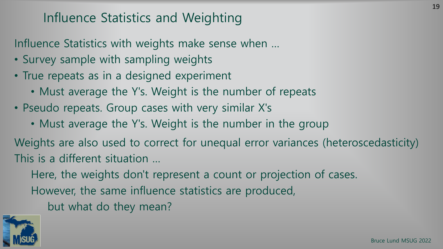### Influence Statistics and Weighting

Influence Statistics with weights make sense when …

- Survey sample with sampling weights
- True repeats as in a designed experiment
	- Must average the Y's. Weight is the number of repeats
- Pseudo repeats. Group cases with very similar X's
	- Must average the Y's. Weight is the number in the group

Weights are also used to correct for unequal error variances (heteroscedasticity) This is a different situation …

Here, the weights don't represent a count or projection of cases.

However, the same influence statistics are produced,

but what do they mean?

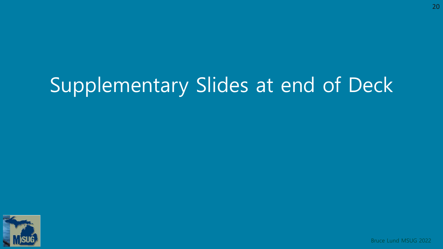# Supplementary Slides at end of Deck

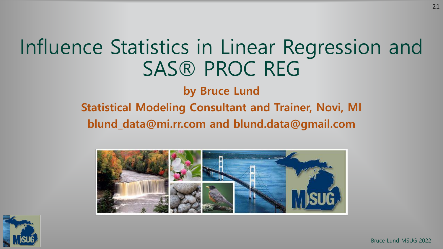# Influence Statistics in Linear Regression and SAS® PROC REG

**by Bruce Lund**

#### **Statistical Modeling Consultant and Trainer, Novi, MI blund\_data@mi.rr.com and blund.data@gmail.com**



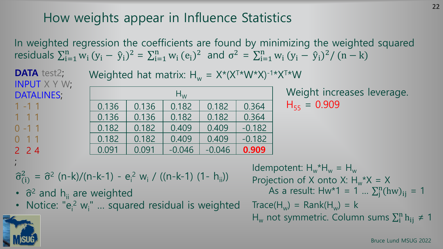# How weights appear in Influence Statistics

In weighted regression the coefficients are found by minimizing the weighted squared residuals  $\sum_{i=1}^{n} w_i (y_i - \hat{y}_i)^2 = \sum_{i=1}^{n} w_i (e_i)^2$  and  $\sigma^2 = \sum_{i=1}^{n} w_i (y_i - \hat{y}_i)^2 / (n - k)$ 

**DATA** test2; INPUT X Y W; DATALINES; 1 -1 1 1 1 1  $0 - 1 1$ 0 1 1 2 2 4 ;<br>,  $H_W$ 0.136 0.136 0.182 0.182 0.364 0.136 | 0.136 | 0.182 | 0.182 | 0.364  $0.182$  |  $0.182$  |  $0.409$  |  $0.409$  |  $-0.182$  $0.182$   $\begin{array}{|c|c|c|c|c|c|c|c|} \hline 0.182 & 0.409 & 0.409 & -0.182 \hline \end{array}$ 0.091 | 0.091 | -0.046 | -0.046 | **0.909** Weighted hat matrix:  $H_w = X^*(X^{T*}W^*X)^{-1*}X^{T*}W$ 

Weight increases leverage.  $H_{55} = 0.909$ 

$$
\hat{\sigma}_{(i)}^2 = \hat{\sigma}^2 (n-k)/(n-k-1) - e_i^2 w_i / ((n-k-1) (1-h_{ii}))
$$

- $\hat{\sigma}^2$  and  $h_{ii}$  are weighted
- Notice: "e<sub>i</sub><sup>2</sup> w<sub>i</sub>" ... squared residual is weighted

Idempotent:  $H_w^*H_w = H_w$ Projection of X onto X:  $H_w^*X = X$ As a result:  $Hw*1 = 1... \sum_{j}^{n}(hw)_{ij} = 1$  $Trace(H_w) = Rank(H_w) = k$  $H_w$  not symmetric. Column sums  $\sum_i^n h_{ij} \neq 1$ 

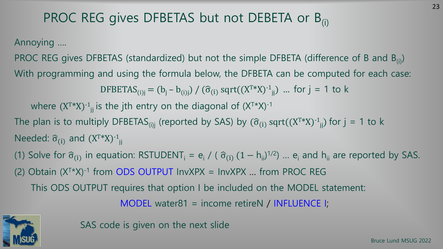# PROC REG gives DFBETAS but not DEBETA or  $B_{(i)}$

Annoying ….

PROC REG gives DFBETAS (standardized) but not the simple DFBETA (difference of B and  $B_{(i)}$ ) With programming and using the formula below, the DFBETA can be computed for each case:

DFBETAS<sub>(i)j</sub> = (b<sub>j</sub> - b<sub>(i)j</sub>) / ( $\hat{\sigma}_{(i)}$  sqrt((X<sup>T\*</sup>X)<sup>-1</sup><sub>jj</sub>) ... for j = 1 to k

where  $(X^{T*}X)^{-1}$ <sub>jj</sub> is the jth entry on the diagonal of  $(X^{T*}X)^{-1}$ 

The plan is to multiply DFBETAS<sub>(i)j</sub> (reported by SAS) by  $(\widehat{\sigma}_{(i)}\, \text{sqrt}((X^{T*}X)^{-1}_{j j})$  for  $j=1$  to k Needed:  $\widehat{\sigma}_{(i)}$  and  $(X^{T*}X)^{-1}$ <sub>jj</sub>

(1) Solve for  $\hat{\sigma}_{(i)}$  in equation: RSTUDENT<sub>i</sub> = e<sub>i</sub> / ( $\hat{\sigma}_{(i)}$  (1 – h<sub>ii</sub>)<sup>1/2</sup>) ... e<sub>i</sub> and h<sub>ii</sub> are reported by SAS.

(2) Obtain  $(X^{T*}X)^{-1}$  from ODS OUTPUT InvXPX = InvXPX ... from PROC REG

This ODS OUTPUT requires that option I be included on the MODEL statement:

MODEL water81 = income retireN / INFLUENCE I;

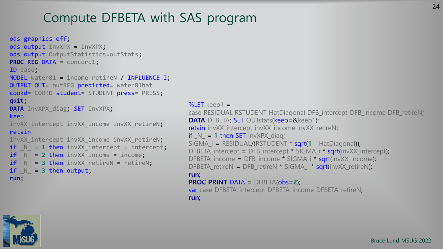## Compute DFBETA with SAS program

```
ods graphics off;
ods output InvXPX = InvXPX;
ods output OutputStatistics=outStats;
PROC REG DATA = concord1;
ID case;
MODEL water81 = income retireN / INFLUENCE I;
OUTPUT OUT= outREG predicted= water81hat 
cookd= COOKD student= STUDENT press= PRESS;
quit;
DATA InvXPX_diag; SET InvXPX;
keep
invXX intercept invXX income invXX retireN;
retain
invXX intercept invXX income invXX retireN;
if N = 1 then invXX intercept = intercept;
if N = 2 then invXX income = income;
if N = 3 then invXX retireN = retireN;
if N = 3 then output;
run;
```
 $%$ LET keep1 = case RESIDUAL RSTUDENT HatDiagonal DFB\_intercept DFB\_income DFB\_retireN; **DATA** DFBETA; SET OUTstats(keep=&keep1); retain invXX\_intercept invXX\_income invXX\_retireN;  $if_N = 1$  then SET InvXPX\_diag; SIGMA\_i = RESIDUAL/(RSTUDENT \* sqrt(**1** - HatDiagonal)); DFBETA intercept = DFB intercept \* SIGMA  $i$  \* sqrt(invXX intercept); DFBETA income = DFB income \* SIGMA i \* sart(invXX income); DFBETA retireN = DFB retireN \* SIGMA  $i$  \* sqrt(invXX retireN); **run**; **PROC PRINT** DATA = DFBETA(obs=**2**); var case DFBETA\_intercept DFBETA\_income DFBETA\_retireN; **run**;



24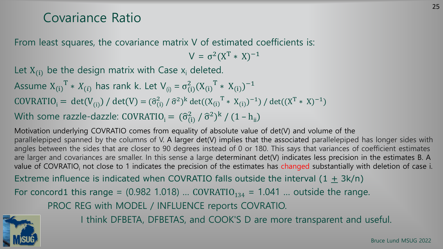#### Covariance Ratio

From least squares, the covariance matrix V of estimated coefficients is:

 $V = \sigma^2 (X^T * X)^{-1}$ 

Let  $X_{(i)}$  be the design matrix with Case  $X_i$  deleted.

Assume  $X_{(i)}^T * X_{(i)}$  has rank k. Let  $V_{(i)} = \sigma_{(i)}^2 (X_{(i)}^T * X_{(i)})^{-1}$ COVRATIO<sub>i</sub> = det(V<sub>(i)</sub>) / det(V) =  $(\hat{\sigma}_{(i)}^2 / \hat{\sigma}^2)^k$  det( $(X_{(i)}^T * X_{(i)})^{-1}$ ) / det( $(X^T * X)^{-1}$ ) With some razzle-dazzle: COVRATIO<sub>i</sub> =  $(\widehat{\sigma}_{(i)}^2 / \widehat{\sigma}^2)^k / (1 - h_{ii})$ 

Motivation underlying COVRATIO comes from equality of absolute value of det(V) and volume of the parallelepiped spanned by the columns of V. A larger det(V) implies that the associated parallelepiped has longer sides with angles between the sides that are closer to 90 degrees instead of 0 or 180. This says that variances of coefficient estimates are larger and covariances are smaller. In this sense a large determinant det(V) indicates less precision in the estimates B. A value of COVRATIO<sub>i</sub> not close to 1 indicates the precision of the estimates has changed substantially with deletion of case i. Extreme influence is indicated when COVRATIO falls outside the interval  $(1 + 3k/n)$ 

For concord1 this range =  $(0.982 1.018)$  ... COVRATIO<sub>134</sub> = 1.041 ... outside the range.

PROC REG with MODEL / INFLUENCE reports COVRATIO.



I think DFBETA, DFBETAS, and COOK'S D are more transparent and useful.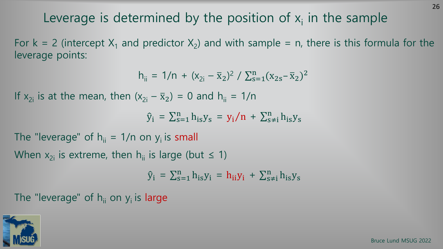# Leverage is determined by the position of  $x_i$  in the sample

For  $k = 2$  (intercept  $X_1$  and predictor  $X_2$ ) and with sample = n, there is this formula for the leverage points:

$$
h_{ii} = 1/n + (x_{2i} - \bar{x}_2)^2 / \sum_{s=1}^{n} (x_{2s} - \bar{x}_2)^2
$$

If  $x_{2i}$  is at the mean, then  $(x_{2i} - \bar{x}_2) = 0$  and  $h_{ii} = 1/n$ 

 $\hat{y}_i = \sum_{s=1}^n h_{is} y_s = y_i/n + \sum_{s \neq i}^n h_{is} y_s$ 

The "leverage" of  $h_{ii} = 1/n$  on  $y_i$  is small

When  $x_{2i}$  is extreme, then  $h_{ii}$  is large (but  $\leq 1$ )

 $\hat{y}_i = \sum_{s=1}^n h_{is} y_i = h_{ii} y_i + \sum_{s \neq i}^n h_{is} y_s$ 

The "leverage" of  $h_{ii}$  on  $y_i$  is large

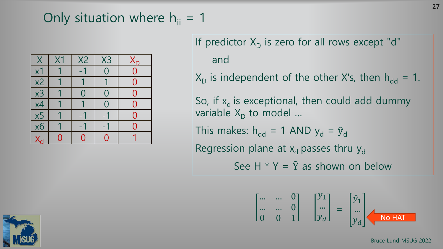# Only situation where  $h_{ii} = 1$

| $\sf{X}$                 | X1 | <b>X2</b>        | X3        | $\mathsf{X}_{\mathsf{D}}$ |
|--------------------------|----|------------------|-----------|---------------------------|
| x1                       |    | $-1$             |           | $\overline{O}$            |
| x <sub>2</sub>           |    |                  |           |                           |
| x3                       |    | $\left( \right)$ | $\bigcap$ | $\Omega$                  |
| $\overline{\mathsf{x}4}$ |    |                  | $\Omega$  |                           |
| $\overline{\times 5}$    |    |                  |           | O                         |
| $\overline{\times 6}$    |    |                  |           |                           |
|                          |    |                  | 0         |                           |

If predictor  $X<sub>D</sub>$  is zero for all rows except "d" and

 $X<sub>D</sub>$  is independent of the other X's, then  $h<sub>dd</sub> = 1$ .

So, if  $x_d$  is exceptional, then could add dummy variable  $\mathsf{X}_\mathsf{D}$  to model ...

This makes:  $h_{dd} = 1$  AND  $y_d = \hat{y}_d$ 

Regression plane at  $x_d$  passes thru  $y_d$ 

See H  $*$  Y =  $\hat{Y}$  as shown on below

$$
\begin{bmatrix} \dots & \dots & 0 \\ \dots & \dots & 0 \\ 0 & 0 & 1 \end{bmatrix} \begin{bmatrix} y_1 \\ \dots \\ y_d \end{bmatrix} = \begin{bmatrix} \hat{y}_1 \\ \dots \\ y_d \end{bmatrix}
$$
 **no HAT**